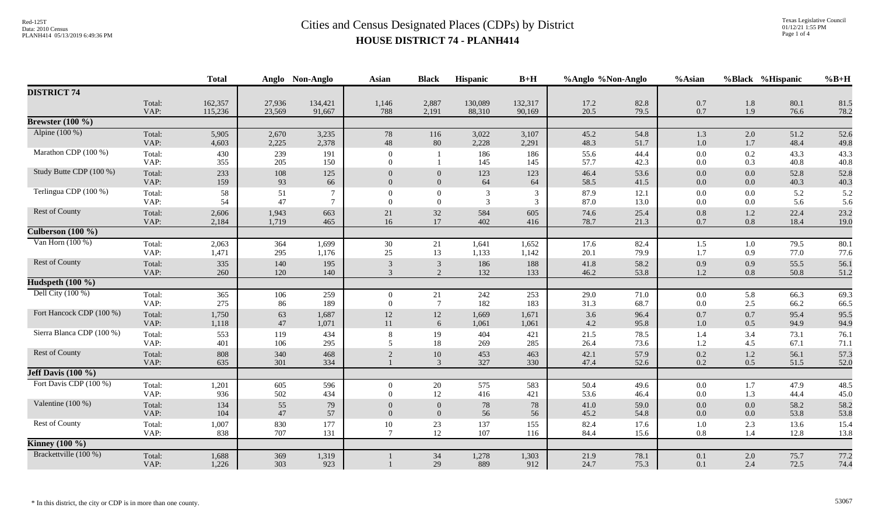|                           |                | <b>Total</b>   |                | Anglo Non-Anglo | <b>Asian</b>               | <b>Black</b>               | Hispanic       | $B+H$          | %Anglo %Non-Anglo |              | %Asian             |                | %Black %Hispanic | $%B+H$       |
|---------------------------|----------------|----------------|----------------|-----------------|----------------------------|----------------------------|----------------|----------------|-------------------|--------------|--------------------|----------------|------------------|--------------|
| <b>DISTRICT 74</b>        |                |                |                |                 |                            |                            |                |                |                   |              |                    |                |                  |              |
|                           | Total:         | 162,357        | 27,936         | 134,421         | 1,146                      | 2,887                      | 130,089        | 132,317        | 17.2              | 82.8         | 0.7                | 1.8            | 80.1             | 81.5         |
|                           | VAP:           | 115,236        | 23,569         | 91,667          | 788                        | 2,191                      | 88,310         | 90,169         | 20.5              | 79.5         | 0.7                | 1.9            | 76.6             | 78.2         |
| Brewster $(100\%$         |                |                |                |                 |                            |                            |                |                |                   |              |                    |                |                  |              |
| Alpine (100 %)            | Total:<br>VAP: | 5,905<br>4,603 | 2,670<br>2,225 | 3,235<br>2,378  | 78<br>48                   | 116<br>80                  | 3,022<br>2,228 | 3,107<br>2,291 | 45.2<br>48.3      | 54.8<br>51.7 | 1.3<br>$1.0\,$     | 2.0<br>1.7     | 51.2<br>48.4     | 52.6<br>49.8 |
| Marathon CDP (100 %)      | Total:<br>VAP: | 430<br>355     | 239<br>205     | 191<br>150      | $\theta$<br>$\Omega$       |                            | 186<br>145     | 186<br>145     | 55.6<br>57.7      | 44.4<br>42.3 | $0.0\,$<br>$0.0\,$ | 0.2<br>0.3     | 43.3<br>40.8     | 43.3<br>40.8 |
| Study Butte CDP (100 %)   | Total:<br>VAP: | 233<br>159     | 108<br>93      | 125<br>66       | $\Omega$                   | $\theta$<br>$\Omega$       | 123<br>64      | 123<br>64      | 46.4<br>58.5      | 53.6<br>41.5 | $0.0\,$<br>$0.0\,$ | 0.0<br>0.0     | 52.8<br>40.3     | 52.8<br>40.3 |
| Terlingua CDP (100 %)     | Total:<br>VAP: | 58<br>54       | 51<br>47       | $\tau$          | $\Omega$<br>$\Omega$       | $\overline{0}$<br>$\Omega$ | 3<br>3         | 3<br>3         | 87.9<br>87.0      | 12.1<br>13.0 | 0.0<br>$0.0\,$     | 0.0<br>0.0     | 5.2<br>5.6       | 5.2<br>5.6   |
| Rest of County            | Total:<br>VAP: | 2,606<br>2,184 | 1,943<br>1,719 | 663<br>465      | 21<br>16                   | 32<br>$17\,$               | 584<br>402     | 605<br>416     | 74.6<br>78.7      | 25.4<br>21.3 | 0.8<br>0.7         | 1.2<br>$0.8\,$ | 22.4<br>18.4     | 23.2<br>19.0 |
| Culberson $(100 \%)$      |                |                |                |                 |                            |                            |                |                |                   |              |                    |                |                  |              |
| Van Horn $(100\%)$        | Total:<br>VAP: | 2,063<br>1,471 | 364<br>295     | 1,699<br>1,176  | 30<br>25                   | $21\,$<br>13               | 1,641<br>1,133 | 1,652<br>1,142 | 17.6<br>20.1      | 82.4<br>79.9 | 1.5<br>1.7         | 1.0<br>0.9     | 79.5<br>77.0     | 80.1<br>77.6 |
| Rest of County            | Total:<br>VAP: | 335<br>260     | 140<br>120     | 195<br>140      | 3<br>3                     | 3<br>2                     | 186<br>132     | 188<br>133     | 41.8<br>46.2      | 58.2<br>53.8 | 0.9<br>1.2         | 0.9<br>0.8     | 55.5<br>50.8     | 56.1<br>51.2 |
| Hudspeth $(100 \%)$       |                |                |                |                 |                            |                            |                |                |                   |              |                    |                |                  |              |
| Dell City $(100\%)$       | Total:<br>VAP: | 365<br>275     | 106<br>86      | 259<br>189      | $\overline{0}$<br>$\Omega$ | 21<br>$7\phantom{.0}$      | 242<br>182     | 253<br>183     | 29.0<br>31.3      | 71.0<br>68.7 | $0.0\,$<br>0.0     | 5.8<br>2.5     | 66.3<br>66.2     | 69.3<br>66.5 |
| Fort Hancock CDP (100 %)  | Total:<br>VAP: | 1,750<br>1,118 | 63<br>47       | 1,687<br>1,071  | 12<br>11                   | 12<br>6                    | 1,669<br>1,061 | 1,671<br>1,061 | 3.6<br>4.2        | 96.4<br>95.8 | 0.7<br>$1.0\,$     | 0.7<br>0.5     | 95.4<br>94.9     | 95.5<br>94.9 |
| Sierra Blanca CDP (100 %) | Total:<br>VAP: | 553<br>401     | 119<br>106     | 434<br>295      | 8<br>5                     | 19<br>18                   | 404<br>269     | 421<br>285     | 21.5<br>26.4      | 78.5<br>73.6 | 1.4<br>1.2         | 3.4<br>4.5     | 73.1<br>67.1     | 76.1<br>71.1 |
| Rest of County            | Total:<br>VAP: | 808<br>635     | 340<br>301     | 468<br>334      | $\overline{2}$             | 10<br>3                    | 453<br>327     | 463<br>330     | 42.1<br>47.4      | 57.9<br>52.6 | 0.2<br>0.2         | 1.2<br>0.5     | 56.1<br>51.5     | 57.3<br>52.0 |
| Jeff Davis $(100\%$       |                |                |                |                 |                            |                            |                |                |                   |              |                    |                |                  |              |
| Fort Davis CDP (100 %)    | Total:<br>VAP: | 1,201<br>936   | 605<br>502     | 596<br>434      | $\Omega$<br>$\Omega$       | 20<br>12                   | 575<br>416     | 583<br>421     | 50.4<br>53.6      | 49.6<br>46.4 | $0.0\,$<br>$0.0\,$ | 1.7<br>1.3     | 47.9<br>44.4     | 48.5<br>45.0 |
| Valentine (100 %)         | Total:<br>VAP: | 134<br>104     | 55<br>47       | 79<br>57        | $\Omega$                   | $\Omega$<br>$\Omega$       | 78<br>56       | $78\,$<br>56   | 41.0<br>45.2      | 59.0<br>54.8 | $0.0\,$<br>0.0     | 0.0<br>0.0     | 58.2<br>53.8     | 58.2<br>53.8 |
| <b>Rest of County</b>     | Total:<br>VAP: | 1,007<br>838   | 830<br>707     | 177<br>131      | 10<br>$\overline{7}$       | 23<br>12                   | 137<br>107     | 155<br>116     | 82.4<br>84.4      | 17.6<br>15.6 | 1.0<br>$0.8\,$     | 2.3<br>1.4     | 13.6<br>12.8     | 15.4<br>13.8 |
| <b>Kinney</b> (100 %)     |                |                |                |                 |                            |                            |                |                |                   |              |                    |                |                  |              |
| Brackettville (100 %)     | Total:<br>VAP: | 1,688<br>1,226 | 369<br>303     | 1,319<br>923    |                            | 34<br>29                   | 1,278<br>889   | 1,303<br>912   | 21.9<br>24.7      | 78.1<br>75.3 | 0.1<br>0.1         | 2.0<br>2.4     | 75.7<br>72.5     | 77.2<br>74.4 |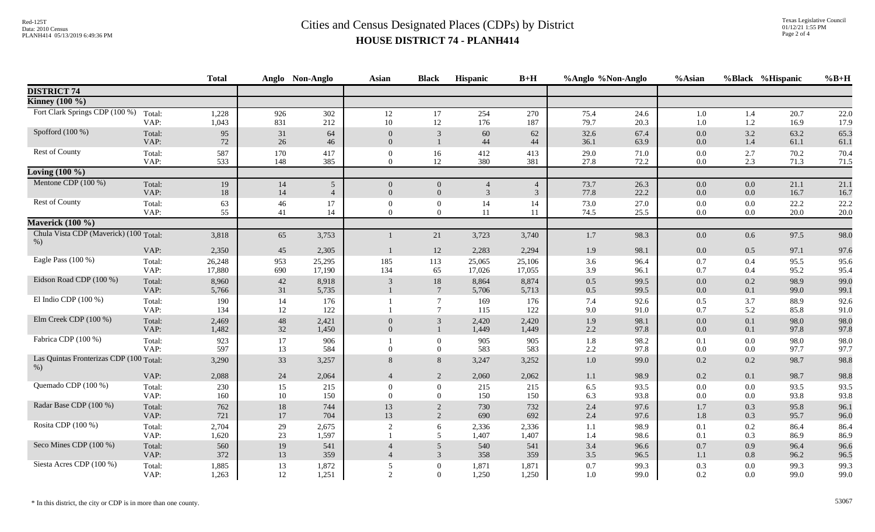|                                                  |                | <b>Total</b>   |            | Anglo Non-Anglo | <b>Asian</b>                     | <b>Black</b>                     | Hispanic       | $B+H$          | %Anglo %Non-Anglo |              | %Asian     |                | %Black %Hispanic | $%B+H$       |
|--------------------------------------------------|----------------|----------------|------------|-----------------|----------------------------------|----------------------------------|----------------|----------------|-------------------|--------------|------------|----------------|------------------|--------------|
| <b>DISTRICT 74</b>                               |                |                |            |                 |                                  |                                  |                |                |                   |              |            |                |                  |              |
| <b>Kinney</b> (100 %)                            |                |                |            |                 |                                  |                                  |                |                |                   |              |            |                |                  |              |
| Fort Clark Springs CDP (100 %)                   | Total:         | 1,228          | 926        | 302             | 12                               | 17                               | 254            | 270            | 75.4              | 24.6         | $1.0\,$    | 1.4            | 20.7             | 22.0         |
|                                                  | VAP:           | 1,043          | 831        | 212             | 10                               | 12                               | 176            | 187            | 79.7              | 20.3         | 1.0        | 1.2            | 16.9             | 17.9         |
| Spofford $(100\%)$                               | Total:         | 95             | 31         | 64              | $\Omega$                         | 3                                | 60             | 62             | 32.6              | 67.4         | 0.0        | 3.2            | 63.2             | 65.3         |
|                                                  | VAP:           | 72             | 26         | 46              | $\overline{0}$                   | $\mathbf{1}$                     | 44             | 44             | 36.1              | 63.9         | 0.0        | 1.4            | 61.1             | 61.1         |
| Rest of County                                   | Total:<br>VAP: | 587<br>533     | 170<br>148 | 417<br>385      | $\mathbf{0}$<br>$\overline{0}$   | 16<br>12                         | 412<br>380     | 413<br>381     | 29.0<br>27.8      | 71.0<br>72.2 | 0.0<br>0.0 | 2.7<br>2.3     | 70.2<br>71.3     | 70.4<br>71.5 |
| Loving $\overline{(100\%)}$                      |                |                |            |                 |                                  |                                  |                |                |                   |              |            |                |                  |              |
| Mentone CDP $(100\%)$                            | Total:         | 19             | 14         | 5               | $\overline{0}$                   | $\mathbf{0}$                     | $\overline{4}$ | $\overline{4}$ | 73.7              | 26.3         | $0.0\,$    | $0.0\,$        | 21.1             | 21.1         |
|                                                  | VAP:           | 18             | 14         | $\overline{4}$  | $\overline{0}$                   | $\overline{0}$                   | $\mathcal{R}$  | 3              | 77.8              | 22.2         | 0.0        | 0.0            | 16.7             | 16.7         |
| Rest of County                                   | Total:         | 63             | 46         | 17              | $\Omega$                         | $\overline{0}$                   | 14             | 14             | 73.0              | 27.0         | 0.0        | 0.0            | 22.2             | 22.2         |
|                                                  | VAP:           | 55             | 41         | 14              | $\theta$                         | $\overline{0}$                   | 11             | 11             | 74.5              | 25.5         | 0.0        | 0.0            | 20.0             | 20.0         |
| Maverick (100 %)                                 |                |                |            |                 |                                  |                                  |                |                |                   |              |            |                |                  |              |
| Chula Vista CDP (Maverick) (100 Total:<br>$%$ )  |                | 3,818          | 65         | 3,753           |                                  | 21                               | 3,723          | 3,740          | 1.7               | 98.3         | $0.0\,$    | 0.6            | 97.5             | 98.0         |
|                                                  | VAP:           | 2,350          | 45         | 2,305           | $\mathbf{1}$                     | 12                               | 2,283          | 2,294          | 1.9               | 98.1         | 0.0        | 0.5            | 97.1             | 97.6         |
| Eagle Pass (100 %)                               | Total:         | 26,248         | 953        | 25,295          | 185                              | 113                              | 25,065         | 25,106         | 3.6               | 96.4         | 0.7        | 0.4            | 95.5             | 95.6         |
|                                                  | VAP:           | 17,880         | 690        | 17,190          | 134                              | 65                               | 17,026         | 17,055         | 3.9               | 96.1         | 0.7        | 0.4            | 95.2             | 95.4         |
| Eidson Road CDP (100 %)                          | Total:         | 8,960          | 42         | 8,918           | 3                                | 18                               | 8,864          | 8,874          | 0.5               | 99.5         | 0.0        | 0.2            | 98.9             | 99.0         |
|                                                  | VAP:           | 5,766          | 31         | 5,735           | $\mathbf{1}$                     | $7\phantom{.0}$                  | 5,706          | 5,713          | 0.5               | 99.5         | 0.0        | 0.1            | 99.0             | 99.1         |
| El Indio CDP $(100\%)$                           | Total:         | 190            | 14         | 176             |                                  | $\overline{7}$                   | 169            | 176            | 7.4               | 92.6         | 0.5        | 3.7            | 88.9             | 92.6         |
| Elm Creek CDP (100 %)                            | VAP:           | 134            | 12         | 122             |                                  | $\tau$                           | 115            | 122            | 9.0               | 91.0         | 0.7        | 5.2            | 85.8             | 91.0         |
|                                                  | Total:<br>VAP: | 2,469<br>1,482 | 48<br>32   | 2,421<br>1,450  | $\overline{0}$<br>$\overline{0}$ | 3<br>$\mathbf{1}$                | 2,420<br>1,449 | 2,420<br>1,449 | 1.9<br>2.2        | 98.1<br>97.8 | 0.0<br>0.0 | 0.1<br>0.1     | 98.0<br>97.8     | 98.0<br>97.8 |
| Fabrica CDP (100 %)                              | Total:         | 923            | 17         | 906             |                                  | $\boldsymbol{0}$                 | 905            | 905            | 1.8               | 98.2         | 0.1        | 0.0            | 98.0             | 98.0         |
|                                                  | VAP:           | 597            | 13         | 584             | $\theta$                         | $\overline{0}$                   | 583            | 583            | 2.2               | 97.8         | 0.0        | 0.0            | 97.7             | 97.7         |
| Las Quintas Fronterizas CDP (100 Total:<br>$%$ ) |                | 3,290          | 33         | 3,257           | 8                                | $8\phantom{.}$                   | 3,247          | 3,252          | 1.0               | 99.0         | 0.2        | 0.2            | 98.7             | 98.8         |
|                                                  | VAP:           | 2,088          | 24         | 2,064           | $\overline{4}$                   | 2                                | 2,060          | 2,062          | 1.1               | 98.9         | 0.2        | 0.1            | 98.7             | 98.8         |
| Quemado CDP (100 %)                              | Total:         | 230            | 15         | 215             | $\overline{0}$                   | $\theta$                         | 215            | 215            | 6.5               | 93.5         | 0.0        | 0.0            | 93.5             | 93.5         |
|                                                  | VAP:           | 160            | 10         | 150             | $\Omega$                         | $\Omega$                         | 150            | 150            | 6.3               | 93.8         | 0.0        | 0.0            | 93.8             | 93.8         |
| Radar Base CDP (100 %)                           | Total:<br>VAP: | 762<br>721     | 18<br>17   | 744<br>704      | 13<br>13                         | $\overline{2}$<br>$\overline{2}$ | 730<br>690     | 732<br>692     | 2.4<br>2.4        | 97.6<br>97.6 | 1.7<br>1.8 | 0.3<br>0.3     | 95.8<br>95.7     | 96.1<br>96.0 |
| Rosita CDP (100 %)                               | Total:         | 2,704          | 29         | 2,675           |                                  | 6                                | 2,336          | 2,336          |                   | 98.9         | 0.1        | 0.2            | 86.4             | 86.4         |
|                                                  | VAP:           | 1,620          | 23         | 1,597           | 2                                | 5                                | 1,407          | 1,407          | 1.1<br>1.4        | 98.6         | 0.1        | 0.3            | 86.9             | 86.9         |
| Seco Mines CDP (100 %)                           | Total:         | 560            | 19         | 541             | $\overline{4}$                   | 5                                | 540            | 541            | 3.4               | 96.6         | 0.7        | 0.9            | 96.4             | 96.6         |
|                                                  | VAP:           | 372            | 13         | 359             | $\overline{4}$                   | 3                                | 358            | 359            | 3.5               | 96.5         | 1.1        | $0.8\,$        | 96.2             | 96.5         |
| Siesta Acres CDP (100 %)                         | Total:<br>VAP: | 1,885<br>1,263 | 13<br>12   | 1,872<br>1,251  | 5<br>$\overline{2}$              | $\mathbf{0}$<br>$\overline{0}$   | 1,871<br>1,250 | 1,871<br>1,250 | 0.7<br>1.0        | 99.3<br>99.0 | 0.3<br>0.2 | $0.0\,$<br>0.0 | 99.3<br>99.0     | 99.3<br>99.0 |
|                                                  |                |                |            |                 |                                  |                                  |                |                |                   |              |            |                |                  |              |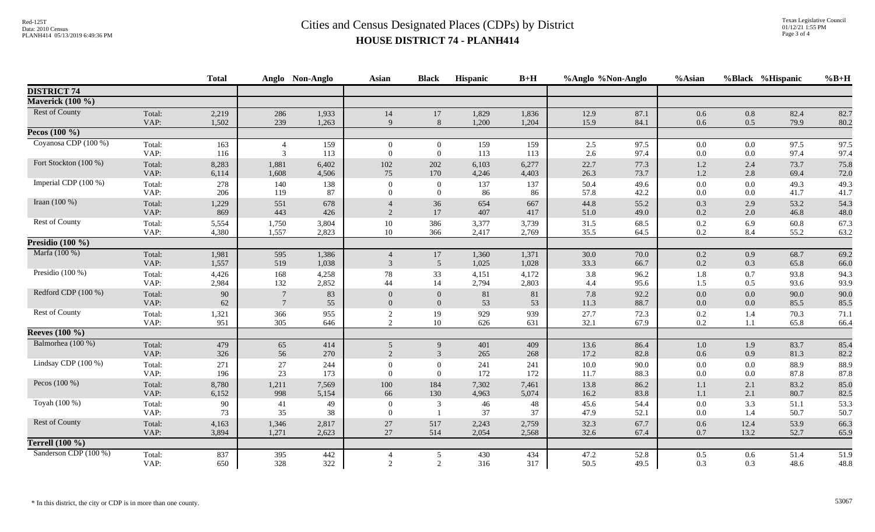|                       |                | <b>Total</b> |                | Anglo Non-Anglo | <b>Asian</b>             | <b>Black</b>     | Hispanic   | $B+H$      | %Anglo %Non-Anglo |              | %Asian         |            | %Black %Hispanic | $%B+H$       |
|-----------------------|----------------|--------------|----------------|-----------------|--------------------------|------------------|------------|------------|-------------------|--------------|----------------|------------|------------------|--------------|
| <b>DISTRICT 74</b>    |                |              |                |                 |                          |                  |            |            |                   |              |                |            |                  |              |
| Maverick (100 %)      |                |              |                |                 |                          |                  |            |            |                   |              |                |            |                  |              |
| <b>Rest of County</b> | Total:         | 2,219        | 286            | 1,933           | 14                       | $17\,$           | 1,829      | 1,836      | 12.9              | 87.1         | 0.6            | 0.8        | 82.4             | 82.7         |
|                       | VAP:           | 1,502        | 239            | 1,263           | $\mathbf{Q}$             | 8                | 1,200      | 1,204      | 15.9              | 84.1         | 0.6            | 0.5        | 79.9             | 80.2         |
| Pecos $(100\%$        |                |              |                |                 |                          |                  |            |            |                   |              |                |            |                  |              |
| Coyanosa CDP (100 %)  | Total:         | 163          | $\overline{4}$ | 159             | $\overline{0}$           | $\overline{0}$   | 159        | 159        | 2.5               | 97.5         | $0.0\,$        | $0.0\,$    | 97.5             | 97.5         |
|                       | VAP:           | 116          | 3              | 113             | $\Omega$                 | $\overline{0}$   | 113        | 113        | 2.6               | 97.4         | $0.0\,$        | 0.0        | 97.4             | 97.4         |
| Fort Stockton (100 %) | Total:         | 8,283        | 1,881          | 6,402           | 102                      | 202              | 6,103      | 6,277      | 22.7              | 77.3         | 1.2            | 2.4        | 73.7             | 75.8         |
|                       | VAP:           | 6,114        | 1,608          | 4,506           | 75                       | 170              | 4,246      | 4,403      | 26.3              | 73.7         | 1.2            | 2.8        | 69.4             | 72.0         |
| Imperial CDP (100 %)  | Total:         | 278          | 140            | 138             | $\mathbf{0}$             | $\boldsymbol{0}$ | 137        | 137        | 50.4              | 49.6         | $0.0\,$        | 0.0        | 49.3             | 49.3         |
|                       | VAP:           | 206          | 119            | 87              | $\Omega$                 | $\overline{0}$   | 86         | 86         | 57.8              | 42.2         | 0.0            | 0.0        | 41.7             | 41.7         |
| Iraan $(100\%)$       | Total:<br>VAP: | 1,229<br>869 | 551<br>443     | 678<br>426      | $\mathfrak{D}$           | 36<br>17         | 654<br>407 | 667<br>417 | 44.8<br>51.0      | 55.2<br>49.0 | 0.3<br>0.2     | 2.9<br>2.0 | 53.2<br>46.8     | 54.3<br>48.0 |
| Rest of County        | Total:         | 5,554        | 1,750          | 3,804           | 10                       | 386              | 3,377      | 3,739      | 31.5              | 68.5         | $0.2\,$        | 6.9        | 60.8             | 67.3         |
|                       | VAP:           | 4,380        | 1,557          | 2,823           | 10                       | 366              | 2,417      | 2,769      | 35.5              | 64.5         | 0.2            | 8.4        | 55.2             | 63.2         |
| Presidio $(100\%$     |                |              |                |                 |                          |                  |            |            |                   |              |                |            |                  |              |
| Marfa (100 %)         | Total:         | 1,981        | 595            | 1,386           | $\overline{4}$           | 17               | 1,360      | 1,371      | 30.0              | 70.0         | 0.2            | 0.9        | 68.7             | 69.2         |
|                       | VAP:           | 1,557        | 519            | 1,038           | $\mathfrak{Z}$           | $5\overline{)}$  | 1,025      | 1,028      | 33.3              | 66.7         | 0.2            | 0.3        | 65.8             | 66.0         |
| Presidio (100 %)      | Total:         | 4,426        | 168            | 4,258           | $78\,$                   | 33               | 4,151      | 4,172      | 3.8               | 96.2         | 1.8            | 0.7        | 93.8             | 94.3         |
|                       | VAP:           | 2,984        | 132            | 2,852           | 44                       | 14               | 2,794      | 2,803      | 4.4               | 95.6         | 1.5            | 0.5        | 93.6             | 93.9         |
| Redford CDP (100 %)   | Total:         | 90           | $\overline{7}$ | 83              | $\Omega$                 | $\theta$         | 81         | 81         | 7.8               | 92.2         | 0.0            | 0.0        | 90.0             | 90.0         |
|                       | VAP:           | 62           | $\tau$         | 55              | $\Omega$                 | $\overline{0}$   | 53         | 53         | 11.3              | 88.7         | 0.0            | 0.0        | 85.5             | 85.5         |
| Rest of County        | Total:         | 1,321        | 366            | 955             | $\overline{2}$           | 19               | 929        | 939        | 27.7              | 72.3         | $0.2\,$        | 1.4        | 70.3             | 71.1         |
|                       | VAP:           | 951          | 305            | 646             | 2                        | 10               | 626        | 631        | 32.1              | 67.9         | 0.2            | 1.1        | 65.8             | 66.4         |
| <b>Reeves</b> (100 %) |                |              |                |                 |                          |                  |            |            |                   |              |                |            |                  |              |
| Balmorhea (100 %)     | Total:         | 479          | 65             | 414             | 5                        | 9                | 401        | 409        | 13.6              | 86.4         | 1.0            | 1.9        | 83.7             | 85.4         |
|                       | VAP:           | 326          | 56             | 270             | 2                        | $\overline{3}$   | 265        | 268        | 17.2              | 82.8         | 0.6            | 0.9        | 81.3             | 82.2         |
| Lindsay CDP (100 %)   | Total:         | 271          | $27\,$         | 244             | $\theta$                 | $\overline{0}$   | 241        | 241        | 10.0              | 90.0         | $0.0\,$        | 0.0        | 88.9             | 88.9         |
|                       | VAP:           | 196          | 23             | 173             | $\Omega$                 | $\overline{0}$   | 172        | 172        | 11.7              | 88.3         | 0.0            | 0.0        | 87.8             | 87.8         |
| Pecos (100 %)         | Total:         | 8,780        | 1,211          | 7,569           | 100                      | 184              | 7,302      | 7,461      | 13.8              | 86.2         | $1.1\,$        | 2.1        | 83.2             | 85.0         |
|                       | VAP:           | 6,152        | 998            | 5,154           | 66                       | 130              | 4,963      | 5,074      | 16.2              | 83.8         | 1.1            | 2.1        | 80.7             | 82.5         |
| Toyah (100 %)         | Total:<br>VAP: | 90<br>73     | 41<br>35       | 49<br>38        | $\mathbf{0}$<br>$\Omega$ | $\overline{3}$   | 46<br>37   | 48<br>37   | 45.6<br>47.9      | 54.4<br>52.1 | 0.0<br>$0.0\,$ | 3.3<br>1.4 | 51.1<br>50.7     | 53.3<br>50.7 |
| Rest of County        | Total:         | 4,163        | 1,346          | 2,817           | 27                       | 517              | 2,243      | 2,759      | 32.3              | 67.7         | 0.6            | 12.4       | 53.9             | 66.3         |
|                       | VAP:           | 3,894        | 1,271          | 2,623           | 27                       | 514              | 2,054      | 2,568      | 32.6              | 67.4         | 0.7            | 13.2       | 52.7             | 65.9         |
| Terrell $(100\%)$     |                |              |                |                 |                          |                  |            |            |                   |              |                |            |                  |              |
| Sanderson CDP (100 %) | Total:         | 837          | 395            | 442             | $\overline{4}$           | 5                | 430        | 434        | 47.2              | 52.8         | 0.5            | 0.6        | 51.4             | 51.9         |
|                       | VAP:           | 650          | 328            | 322             | $\mathcal{D}$            | $\overline{2}$   | 316        | 317        | 50.5              | 49.5         | 0.3            | 0.3        | 48.6             | 48.8         |